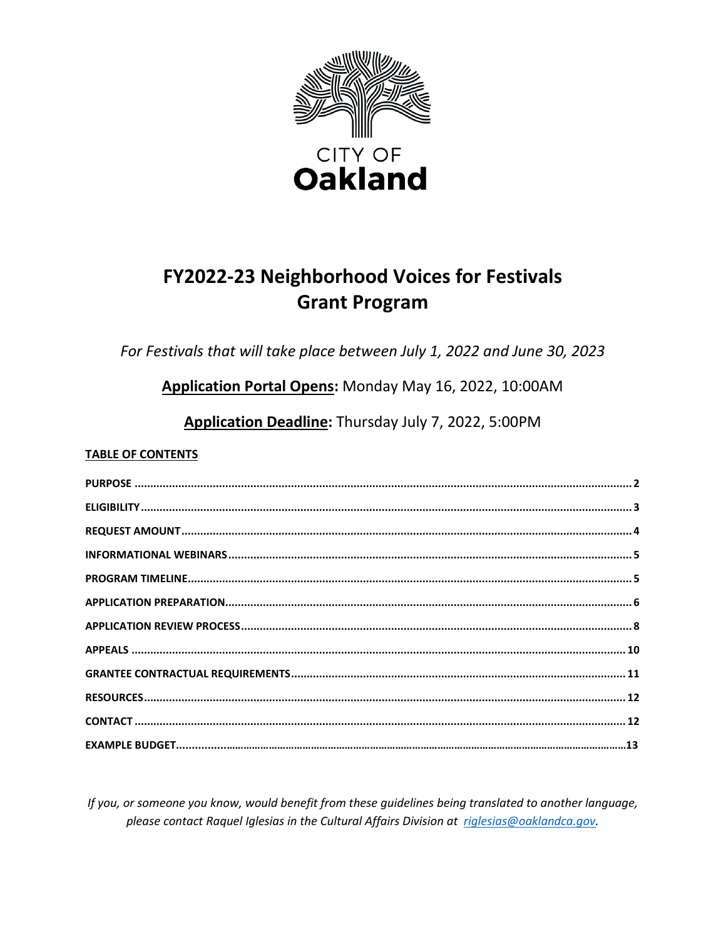

# FY2022-23 Neighborhood Voices for Festivals **Grant Program**

For Festivals that will take place between July 1, 2022 and June 30, 2023

Application Portal Opens: Monday May 16, 2022, 10:00AM

Application Deadline: Thursday July 7, 2022, 5:00PM

### **TABLE OF CONTENTS**

If you, or someone you know, would benefit from these guidelines being translated to another language, please contact Raquel Iglesias in the Cultural Affairs Division at riglesias@oaklandca.gov.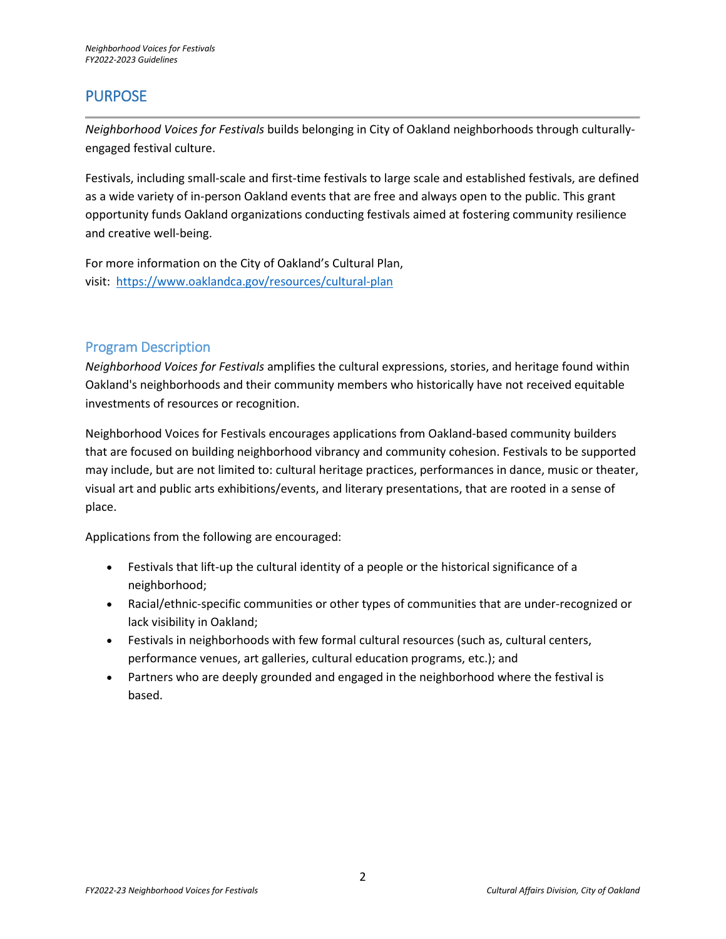## <span id="page-1-0"></span>PURPOSE

*Neighborhood Voices for Festivals* builds belonging in City of Oakland neighborhoods through culturallyengaged festival culture.

Festivals, including small-scale and first-time festivals to large scale and established festivals, are defined as a wide variety of in-person Oakland events that are free and always open to the public. This grant opportunity funds Oakland organizations conducting festivals aimed at fostering community resilience and creative well-being.

For more information on the City of Oakland's Cultural Plan, visit: <https://www.oaklandca.gov/resources/cultural-plan>

### Program Description

*Neighborhood Voices for Festivals* amplifies the cultural expressions, stories, and heritage found within Oakland's neighborhoods and their community members who historically have not received equitable investments of resources or recognition.

Neighborhood Voices for Festivals encourages applications from Oakland-based community builders that are focused on building neighborhood vibrancy and community cohesion. Festivals to be supported may include, but are not limited to: cultural heritage practices, performances in dance, music or theater, visual art and public arts exhibitions/events, and literary presentations, that are rooted in a sense of place.

Applications from the following are encouraged:

- Festivals that lift-up the cultural identity of a people or the historical significance of a neighborhood;
- Racial/ethnic-specific communities or other types of communities that are under-recognized or lack visibility in Oakland;
- Festivals in neighborhoods with few formal cultural resources (such as, cultural centers, performance venues, art galleries, cultural education programs, etc.); and
- <span id="page-1-1"></span>• Partners who are deeply grounded and engaged in the neighborhood where the festival is based.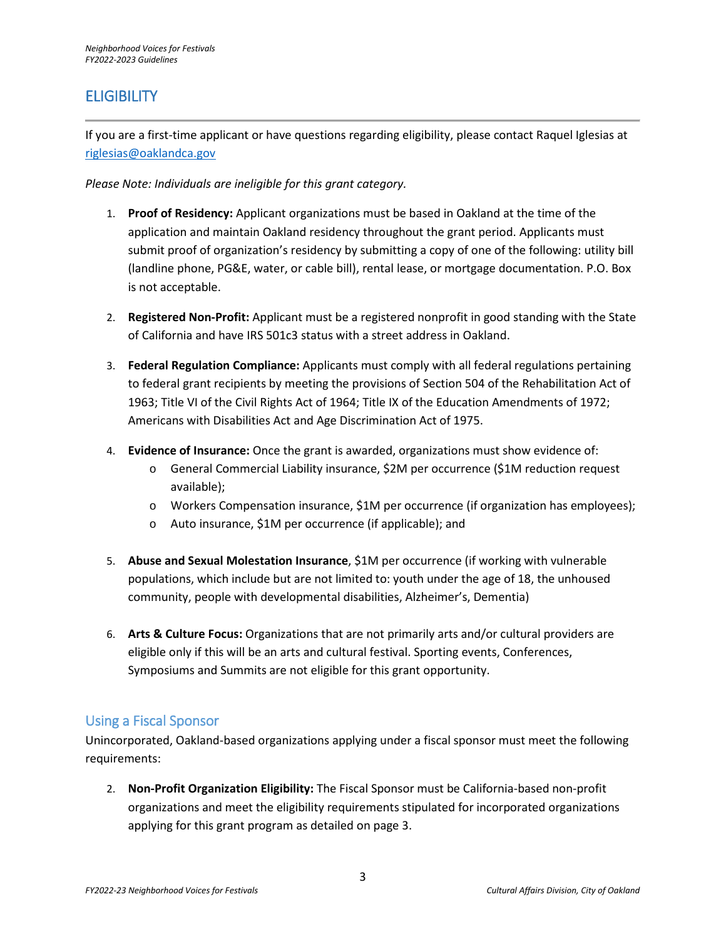## **ELIGIBILITY**

If you are a first-time applicant or have questions regarding eligibility, please contact Raquel Iglesias at [riglesias@oaklandca.gov](mailto:riglesias@oaklandca.gov)

*Please Note: Individuals are ineligible for this grant category.* 

- 1. **Proof of Residency:** Applicant organizations must be based in Oakland at the time of the application and maintain Oakland residency throughout the grant period. Applicants must submit proof of organization's residency by submitting a copy of one of the following: utility bill (landline phone, PG&E, water, or cable bill), rental lease, or mortgage documentation. P.O. Box is not acceptable.
- 2. **Registered Non-Profit:** Applicant must be a registered nonprofit in good standing with the State of California and have IRS 501c3 status with a street address in Oakland.
- 3. **Federal Regulation Compliance:** Applicants must comply with all federal regulations pertaining to federal grant recipients by meeting the provisions of Section 504 of the Rehabilitation Act of 1963; Title VI of the Civil Rights Act of 1964; Title IX of the Education Amendments of 1972; Americans with Disabilities Act and Age Discrimination Act of 1975.
- 4. **Evidence of Insurance:** Once the grant is awarded, organizations must show evidence of:
	- o General Commercial Liability insurance, \$2M per occurrence (\$1M reduction request available);
	- o Workers Compensation insurance, \$1M per occurrence (if organization has employees);
	- o Auto insurance, \$1M per occurrence (if applicable); and
- 5. **Abuse and Sexual Molestation Insurance**, \$1M per occurrence (if working with vulnerable populations, which include but are not limited to: youth under the age of 18, the unhoused community, people with developmental disabilities, Alzheimer's, Dementia)
- 6. **Arts & Culture Focus:** Organizations that are not primarily arts and/or cultural providers are eligible only if this will be an arts and cultural festival. Sporting events, Conferences, Symposiums and Summits are not eligible for this grant opportunity.

### Using a Fiscal Sponsor

Unincorporated, Oakland-based organizations applying under a fiscal sponsor must meet the following requirements:

2. **Non-Profit Organization Eligibility:** The Fiscal Sponsor must be California-based non-profit organizations and meet the eligibility requirements stipulated for incorporated organizations applying for this grant program as detailed on page 3.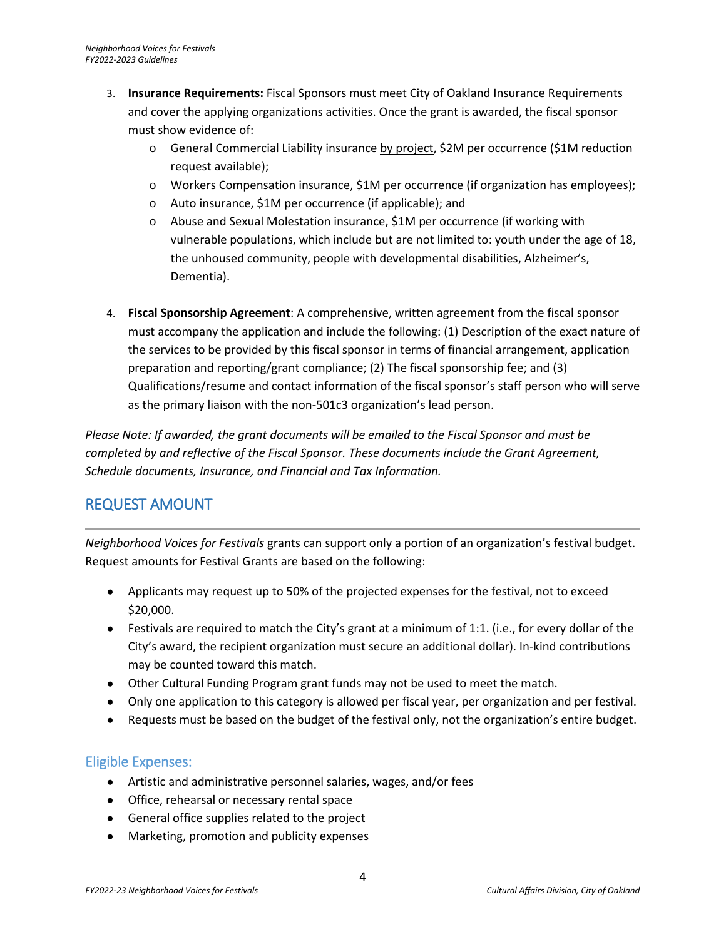- 3. **Insurance Requirements:** Fiscal Sponsors must meet City of Oakland Insurance Requirements and cover the applying organizations activities. Once the grant is awarded, the fiscal sponsor must show evidence of:
	- o General Commercial Liability insurance by project, \$2M per occurrence (\$1M reduction request available);
	- o Workers Compensation insurance, \$1M per occurrence (if organization has employees);
	- o Auto insurance, \$1M per occurrence (if applicable); and
	- o Abuse and Sexual Molestation insurance, \$1M per occurrence (if working with vulnerable populations, which include but are not limited to: youth under the age of 18, the unhoused community, people with developmental disabilities, Alzheimer's, Dementia).
- 4. **Fiscal Sponsorship Agreement**: A comprehensive, written agreement from the fiscal sponsor must accompany the application and include the following: (1) Description of the exact nature of the services to be provided by this fiscal sponsor in terms of financial arrangement, application preparation and reporting/grant compliance; (2) The fiscal sponsorship fee; and (3) Qualifications/resume and contact information of the fiscal sponsor's staff person who will serve as the primary liaison with the non-501c3 organization's lead person.

*Please Note: If awarded, the grant documents will be emailed to the Fiscal Sponsor and must be completed by and reflective of the Fiscal Sponsor. These documents include the Grant Agreement, Schedule documents, Insurance, and Financial and Tax Information.*

## REQUEST AMOUNT

*Neighborhood Voices for Festivals* grants can support only a portion of an organization's festival budget. Request amounts for Festival Grants are based on the following:

- <span id="page-3-0"></span>● Applicants may request up to 50% of the projected expenses for the festival, not to exceed \$20,000.
- $\bullet$  Festivals are required to match the City's grant at a minimum of 1:1. (i.e., for every dollar of the City's award, the recipient organization must secure an additional dollar). In-kind contributions may be counted toward this match.
- Other Cultural Funding Program grant funds may not be used to meet the match.
- Only one application to this category is allowed per fiscal year, per organization and per festival.
- Requests must be based on the budget of the festival only, not the organization's entire budget.

### Eligible Expenses:

- Artistic and administrative personnel salaries, wages, and/or fees
- Office, rehearsal or necessary rental space
- General office supplies related to the project
- Marketing, promotion and publicity expenses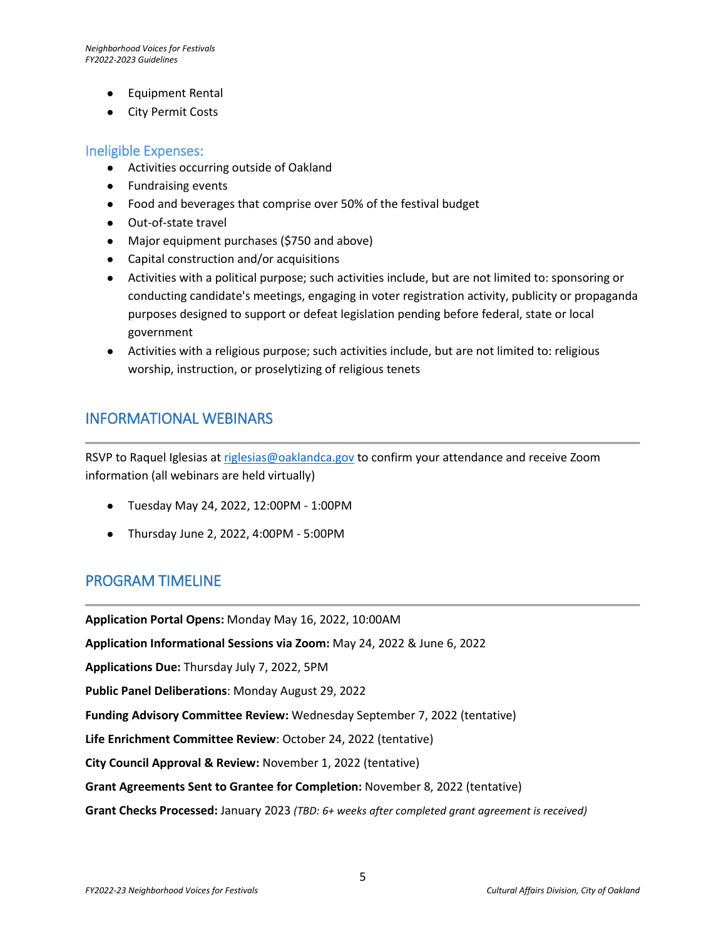- Equipment Rental
- City Permit Costs

### Ineligible Expenses:

- Activities occurring outside of Oakland
- Fundraising events
- Food and beverages that comprise over 50% of the festival budget
- Out-of-state travel
- Major equipment purchases (\$750 and above)
- Capital construction and/or acquisitions
- Activities with a political purpose; such activities include, but are not limited to: sponsoring or conducting candidate's meetings, engaging in voter registration activity, publicity or propaganda purposes designed to support or defeat legislation pending before federal, state or local government
- Activities with a religious purpose; such activities include, but are not limited to: religious worship, instruction, or proselytizing of religious tenets

### <span id="page-4-0"></span>INFORMATIONAL WEBINARS

RSVP to Raquel Iglesias at [riglesias@oaklandca.gov](mailto:riglesias@oaklandca.gov) to confirm your attendance and receive Zoom information (all webinars are held virtually)

- Tuesday May 24, 2022, 12:00PM 1:00PM
- Thursday June 2, 2022, 4:00PM 5:00PM

### <span id="page-4-1"></span>PROGRAM TIMELINE

**Application Portal Opens:** Monday May 16, 2022, 10:00AM

**Application Informational Sessions via Zoom:** May 24, 2022 & June 6, 2022

**Applications Due:** Thursday July 7, 2022, 5PM

**Public Panel Deliberations**: Monday August 29, 2022

**Funding Advisory Committee Review:** Wednesday September 7, 2022 (tentative)

**Life Enrichment Committee Review**: October 24, 2022 (tentative)

**City Council Approval & Review:** November 1, 2022 (tentative)

**Grant Agreements Sent to Grantee for Completion:** November 8, 2022 (tentative)

**Grant Checks Processed:** January 2023 *(TBD: 6+ weeks after completed grant agreement is received)*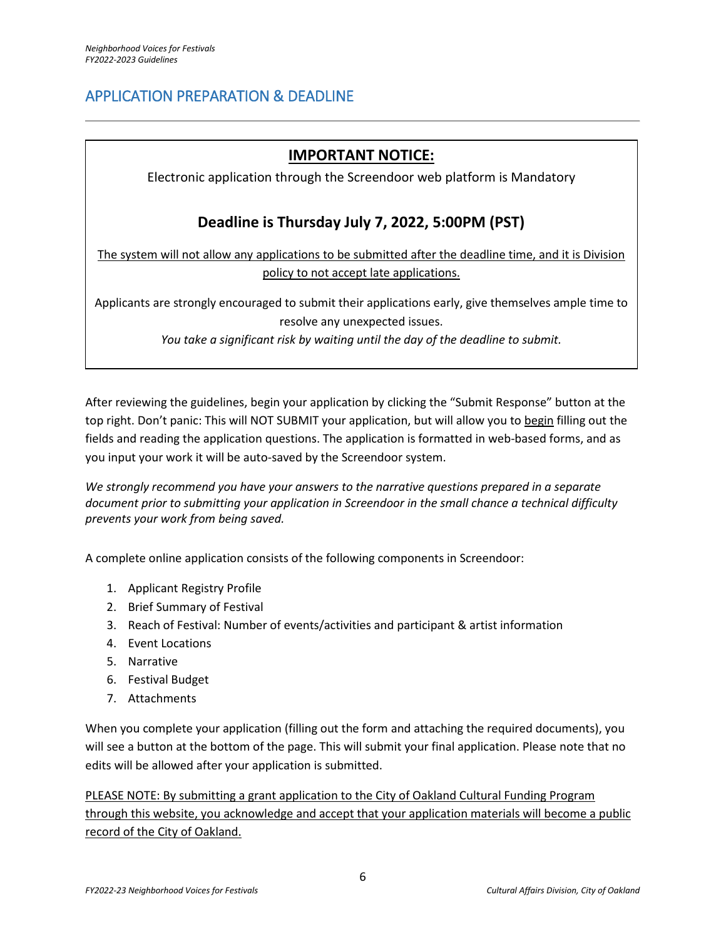## <span id="page-5-0"></span>APPLICATION PREPARATION & DEADLINE

## **IMPORTANT NOTICE:**

Electronic application through the Screendoor web platform is Mandatory

## **Deadline is Thursday July 7, 2022, 5:00PM (PST)**

The system will not allow any applications to be submitted after the deadline time, and it is Division policy to not accept late applications.

Applicants are strongly encouraged to submit their applications early, give themselves ample time to resolve any unexpected issues.

*You take a significant risk by waiting until the day of the deadline to submit.* 

After reviewing the guidelines, begin your application by clicking the "Submit Response" button at the top right. Don't panic: This will NOT SUBMIT your application, but will allow you to begin filling out the fields and reading the application questions. The application is formatted in web-based forms, and as you input your work it will be auto-saved by the Screendoor system.

*We strongly recommend you have your answers to the narrative questions prepared in a separate document prior to submitting your application in Screendoor in the small chance a technical difficulty prevents your work from being saved.* 

A complete online application consists of the following components in Screendoor:

- 1. Applicant Registry Profile
- 2. Brief Summary of Festival
- 3. Reach of Festival: Number of events/activities and participant & artist information
- 4. Event Locations
- 5. Narrative
- 6. Festival Budget
- 7. Attachments

When you complete your application (filling out the form and attaching the required documents), you will see a button at the bottom of the page. This will submit your final application. Please note that no edits will be allowed after your application is submitted.

PLEASE NOTE: By submitting a grant application to the City of Oakland Cultural Funding Program through this website, you acknowledge and accept that your application materials will become a public record of the City of Oakland.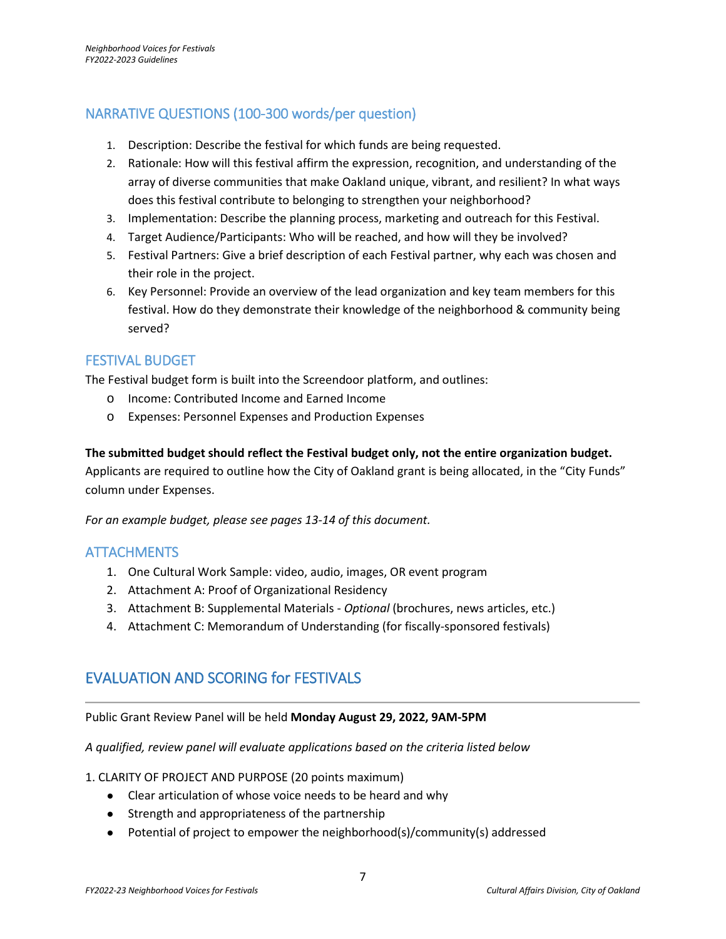## NARRATIVE QUESTIONS (100-300 words/per question)

- 1. Description: Describe the festival for which funds are being requested.
- 2. Rationale: How will this festival affirm the expression, recognition, and understanding of the array of diverse communities that make Oakland unique, vibrant, and resilient? In what ways does this festival contribute to belonging to strengthen your neighborhood?
- 3. Implementation: Describe the planning process, marketing and outreach for this Festival.
- 4. Target Audience/Participants: Who will be reached, and how will they be involved?
- 5. Festival Partners: Give a brief description of each Festival partner, why each was chosen and their role in the project.
- 6. Key Personnel: Provide an overview of the lead organization and key team members for this festival. How do they demonstrate their knowledge of the neighborhood & community being served?

### FESTIVAL BUDGET

The Festival budget form is built into the Screendoor platform, and outlines:

- o Income: Contributed Income and Earned Income
- o Expenses: Personnel Expenses and Production Expenses

#### **The submitted budget should reflect the Festival budget only, not the entire organization budget.**

Applicants are required to outline how the City of Oakland grant is being allocated, in the "City Funds" column under Expenses.

*For an example budget, please see pages 13-14 of this document.* 

### **ATTACHMENTS**

- 1. One Cultural Work Sample: video, audio, images, OR event program
- 2. Attachment A: Proof of Organizational Residency
- 3. Attachment B: Supplemental Materials *Optional* (brochures, news articles, etc.)
- 4. Attachment C: Memorandum of Understanding (for fiscally-sponsored festivals)

## EVALUATION AND SCORING for FESTIVALS

### Public Grant Review Panel will be held **Monday August 29, 2022, 9AM-5PM**

*A qualified, review panel will evaluate applications based on the criteria listed below*

- 1. CLARITY OF PROJECT AND PURPOSE (20 points maximum)
	- Clear articulation of whose voice needs to be heard and why
	- Strength and appropriateness of the partnership
	- Potential of project to empower the neighborhood(s)/community(s) addressed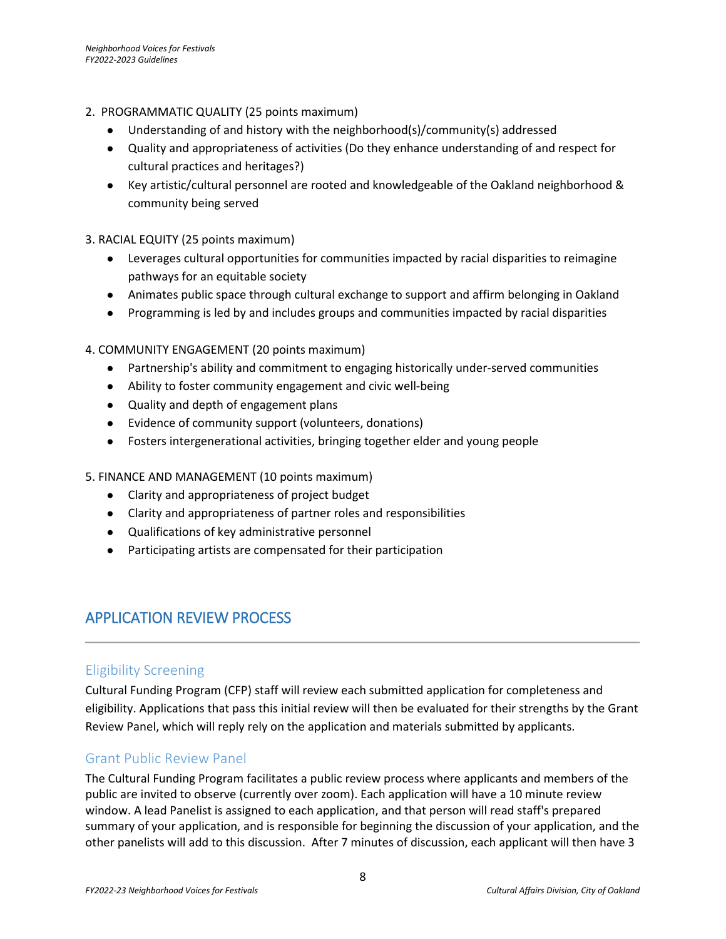- 2. PROGRAMMATIC QUALITY (25 points maximum)
	- Understanding of and history with the neighborhood(s)/community(s) addressed
	- Quality and appropriateness of activities (Do they enhance understanding of and respect for cultural practices and heritages?)
	- Key artistic/cultural personnel are rooted and knowledgeable of the Oakland neighborhood & community being served
- 3. RACIAL EQUITY (25 points maximum)
	- Leverages cultural opportunities for communities impacted by racial disparities to reimagine pathways for an equitable society
	- Animates public space through cultural exchange to support and affirm belonging in Oakland
	- Programming is led by and includes groups and communities impacted by racial disparities

#### 4. COMMUNITY ENGAGEMENT (20 points maximum)

- Partnership's ability and commitment to engaging historically under-served communities
- Ability to foster community engagement and civic well-being
- Quality and depth of engagement plans
- Evidence of community support (volunteers, donations)
- Fosters intergenerational activities, bringing together elder and young people

#### 5. FINANCE AND MANAGEMENT (10 points maximum)

- Clarity and appropriateness of project budget
- Clarity and appropriateness of partner roles and responsibilities
- Qualifications of key administrative personnel
- Participating artists are compensated for their participation

## <span id="page-7-0"></span>APPLICATION REVIEW PROCESS

#### Eligibility Screening

Cultural Funding Program (CFP) staff will review each submitted application for completeness and eligibility. Applications that pass this initial review will then be evaluated for their strengths by the Grant Review Panel, which will reply rely on the application and materials submitted by applicants.

#### Grant Public Review Panel

The Cultural Funding Program facilitates a public review process where applicants and members of the public are invited to observe (currently over zoom). Each application will have a 10 minute review window. A lead Panelist is assigned to each application, and that person will read staff's prepared summary of your application, and is responsible for beginning the discussion of your application, and the other panelists will add to this discussion. After 7 minutes of discussion, each applicant will then have 3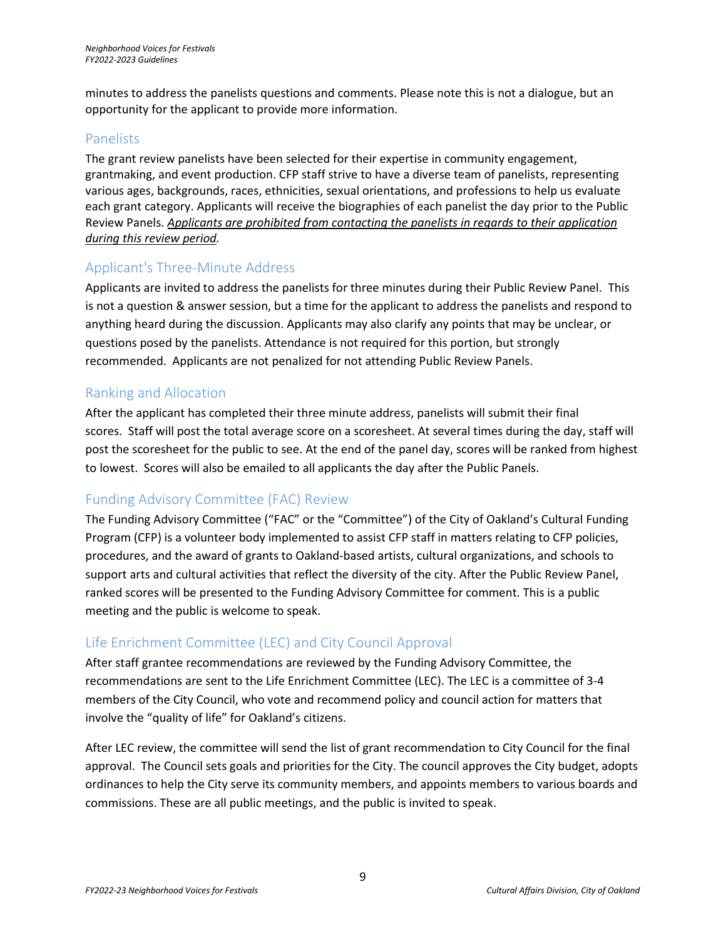minutes to address the panelists questions and comments. Please note this is not a dialogue, but an opportunity for the applicant to provide more information.

### Panelists

The grant review panelists have been selected for their expertise in community engagement, grantmaking, and event production. CFP staff strive to have a diverse team of panelists, representing various ages, backgrounds, races, ethnicities, sexual orientations, and professions to help us evaluate each grant category. Applicants will receive the biographies of each panelist the day prior to the Public Review Panels. *Applicants are prohibited from contacting the panelists in regards to their application during this review period.*

### Applicant's Three-Minute Address

Applicants are invited to address the panelists for three minutes during their Public Review Panel. This is not a question & answer session, but a time for the applicant to address the panelists and respond to anything heard during the discussion. Applicants may also clarify any points that may be unclear, or questions posed by the panelists. Attendance is not required for this portion, but strongly recommended. Applicants are not penalized for not attending Public Review Panels.

### Ranking and Allocation

After the applicant has completed their three minute address, panelists will submit their final scores. Staff will post the total average score on a scoresheet. At several times during the day, staff will post the scoresheet for the public to see. At the end of the panel day, scores will be ranked from highest to lowest. Scores will also be emailed to all applicants the day after the Public Panels.

### Funding Advisory Committee (FAC) Review

The Funding Advisory Committee ("FAC" or the "Committee") of the City of Oakland's Cultural Funding Program (CFP) is a volunteer body implemented to assist CFP staff in matters relating to CFP policies, procedures, and the award of grants to Oakland-based artists, cultural organizations, and schools to support arts and cultural activities that reflect the diversity of the city. After the Public Review Panel, ranked scores will be presented to the Funding Advisory Committee for comment. This is a public meeting and the public is welcome to speak.

## Life Enrichment Committee (LEC) and City Council Approval

After staff grantee recommendations are reviewed by the Funding Advisory Committee, the recommendations are sent to the Life Enrichment Committee (LEC). The LEC is a committee of 3-4 members of the City Council, who vote and recommend policy and council action for matters that involve the "quality of life" for Oakland's citizens.

After LEC review, the committee will send the list of grant recommendation to City Council for the final approval. The Council sets goals and priorities for the City. The council approves the City budget, adopts ordinances to help the City serve its community members, and appoints members to various boards and commissions. These are all public meetings, and the public is invited to speak.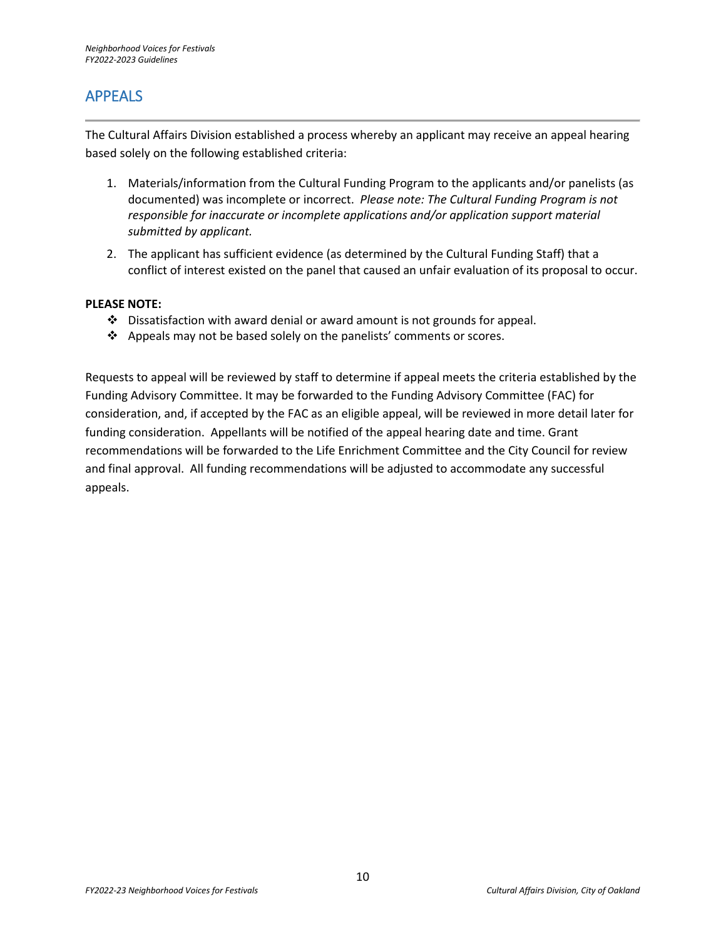## <span id="page-9-0"></span>APPEALS

The Cultural Affairs Division established a process whereby an applicant may receive an appeal hearing based solely on the following established criteria:

- 1. Materials/information from the Cultural Funding Program to the applicants and/or panelists (as documented) was incomplete or incorrect. *Please note: The Cultural Funding Program is not responsible for inaccurate or incomplete applications and/or application support material submitted by applicant.*
- 2. The applicant has sufficient evidence (as determined by the Cultural Funding Staff) that a conflict of interest existed on the panel that caused an unfair evaluation of its proposal to occur.

#### **PLEASE NOTE:**

- $\cdot \cdot$  Dissatisfaction with award denial or award amount is not grounds for appeal.
- ❖ Appeals may not be based solely on the panelists' comments or scores.

Requests to appeal will be reviewed by staff to determine if appeal meets the criteria established by the Funding Advisory Committee. It may be forwarded to the Funding Advisory Committee (FAC) for consideration, and, if accepted by the FAC as an eligible appeal, will be reviewed in more detail later for funding consideration. Appellants will be notified of the appeal hearing date and time. Grant recommendations will be forwarded to the Life Enrichment Committee and the City Council for review and final approval. All funding recommendations will be adjusted to accommodate any successful appeals.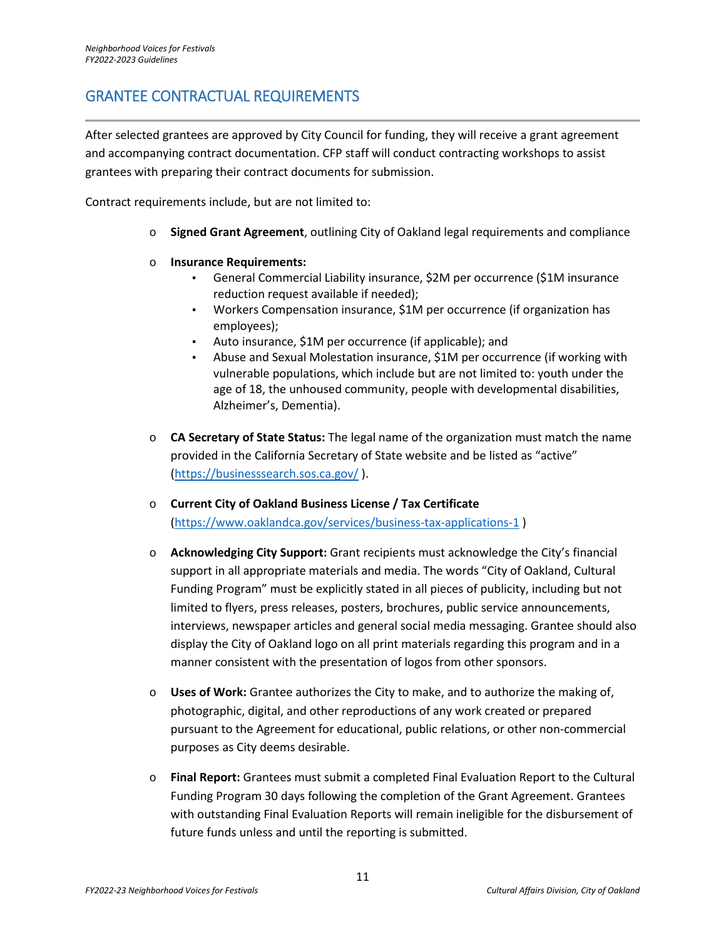## <span id="page-10-0"></span>GRANTEE CONTRACTUAL REQUIREMENTS

After selected grantees are approved by City Council for funding, they will receive a grant agreement and accompanying contract documentation. CFP staff will conduct contracting workshops to assist grantees with preparing their contract documents for submission.

Contract requirements include, but are not limited to:

- o **Signed Grant Agreement**, outlining City of Oakland legal requirements and compliance
- o **Insurance Requirements:**
	- General Commercial Liability insurance, \$2M per occurrence (\$1M insurance reduction request available if needed);
	- Workers Compensation insurance, \$1M per occurrence (if organization has employees);
	- Auto insurance, \$1M per occurrence (if applicable); and
	- Abuse and Sexual Molestation insurance, \$1M per occurrence (if working with vulnerable populations, which include but are not limited to: youth under the age of 18, the unhoused community, people with developmental disabilities, Alzheimer's, Dementia).
- o **CA Secretary of State Status:** The legal name of the organization must match the name provided in the California Secretary of State website and be listed as "active" [\(https://businesssearch.sos.ca.gov/](https://businesssearch.sos.ca.gov/) ).
- o **Current City of Oakland Business License / Tax Certificate**  [\(https://www.oaklandca.gov/services/business-tax-applications-1](https://www.oaklandca.gov/services/business-tax-applications-1) )
- o **Acknowledging City Support:** Grant recipients must acknowledge the City's financial support in all appropriate materials and media. The words "City of Oakland, Cultural Funding Program" must be explicitly stated in all pieces of publicity, including but not limited to flyers, press releases, posters, brochures, public service announcements, interviews, newspaper articles and general social media messaging. Grantee should also display the City of Oakland logo on all print materials regarding this program and in a manner consistent with the presentation of logos from other sponsors.
- o **Uses of Work:** Grantee authorizes the City to make, and to authorize the making of, photographic, digital, and other reproductions of any work created or prepared pursuant to the Agreement for educational, public relations, or other non-commercial purposes as City deems desirable.
- o **Final Report:** Grantees must submit a completed Final Evaluation Report to the Cultural Funding Program 30 days following the completion of the Grant Agreement. Grantees with outstanding Final Evaluation Reports will remain ineligible for the disbursement of future funds unless and until the reporting is submitted.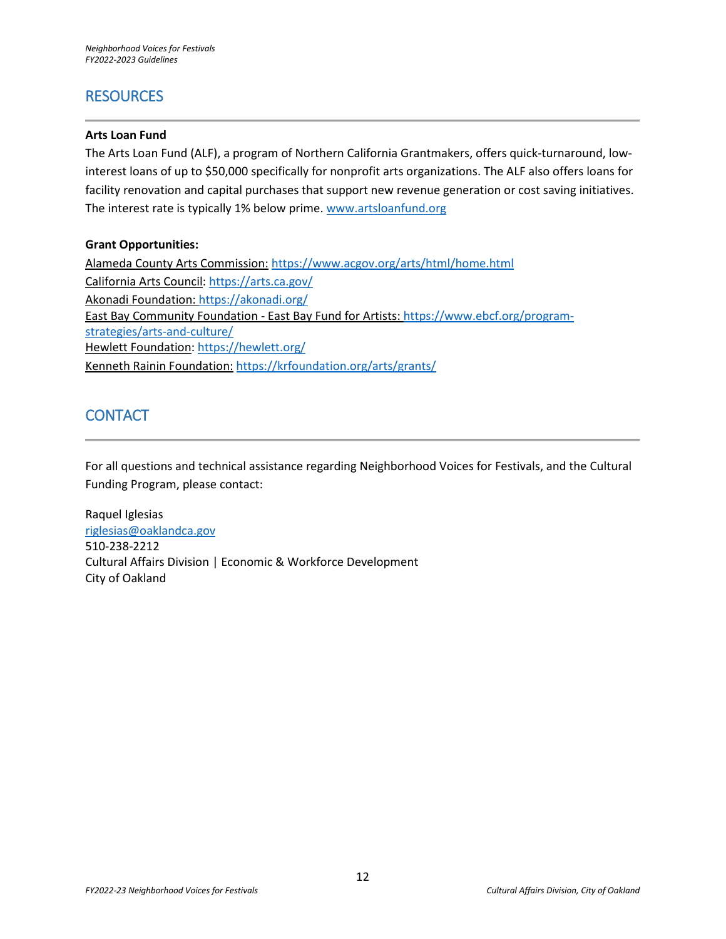## <span id="page-11-0"></span>**RESOURCES**

#### **Arts Loan Fund**

The Arts Loan Fund (ALF), a program of Northern California Grantmakers, offers quick-turnaround, lowinterest loans of up to \$50,000 specifically for nonprofit arts organizations. The ALF also offers loans for facility renovation and capital purchases that support new revenue generation or cost saving initiatives. The interest rate is typically 1% below prime. [www.artsloanfund.org](http://www.artsloanfund.org/)

#### **Grant Opportunities:**

Alameda County Arts Commission: <https://www.acgov.org/arts/html/home.html> California Arts Council:<https://arts.ca.gov/> Akonadi Foundation[: https://akonadi.org/](https://akonadi.org/) East Bay Community Foundation - East Bay Fund for Artists: [https://www.ebcf.org/program](https://www.ebcf.org/program-strategies/arts-and-culture/)[strategies/arts-and-culture/](https://www.ebcf.org/program-strategies/arts-and-culture/) Hewlett Foundation[: https://hewlett.org/](https://hewlett.org/) Kenneth Rainin Foundation: <https://krfoundation.org/arts/grants/>

## <span id="page-11-1"></span>**CONTACT**

For all questions and technical assistance regarding Neighborhood Voices for Festivals, and the Cultural Funding Program, please contact:

Raquel Iglesias [riglesias@oaklandca.gov](mailto:riglesias@oaklandca.gov) 510-238-2212 Cultural Affairs Division | Economic & Workforce Development City of Oakland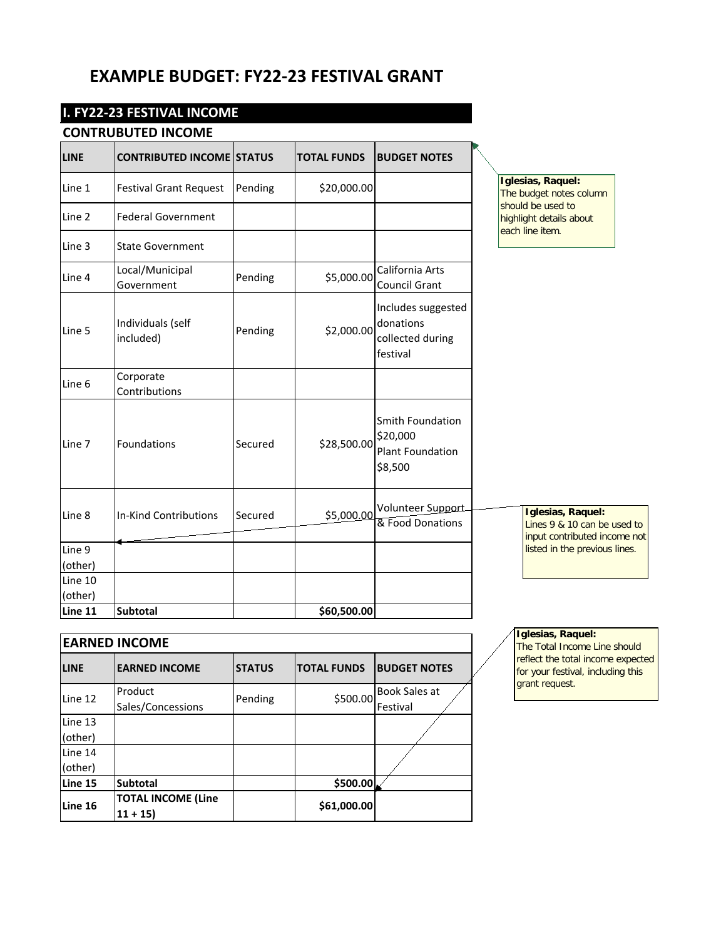## **EXAMPLE BUDGET: FY22-23 FESTIVAL GRANT**

## **I. FY22-23 FESTIVAL INCOME**

### **CONTRUBUTED INCOME**

| LINE    | <b>CONTRIBUTED INCOME STATUS</b> |         | <b>TOTAL FUNDS</b> | <b>BUDGET NOTES</b>                                                |                                                                                  |
|---------|----------------------------------|---------|--------------------|--------------------------------------------------------------------|----------------------------------------------------------------------------------|
| Line 1  | <b>Festival Grant Request</b>    | Pending | \$20,000.00        |                                                                    | Iglesias, Raquel:<br>The budget notes column                                     |
| Line 2  | <b>Federal Government</b>        |         |                    |                                                                    | should be used to<br>highlight details about<br>each line item.                  |
| Line 3  | <b>State Government</b>          |         |                    |                                                                    |                                                                                  |
| Line 4  | Local/Municipal<br>Government    | Pending | \$5,000.00         | California Arts<br>Council Grant                                   |                                                                                  |
| Line 5  | Individuals (self<br>included)   | Pending | \$2,000.00         | Includes suggested<br>donations<br>collected during<br>festival    |                                                                                  |
| Line 6  | Corporate<br>Contributions       |         |                    |                                                                    |                                                                                  |
| Line 7  | Foundations                      | Secured | \$28,500.00        | Smith Foundation<br>\$20,000<br><b>Plant Foundation</b><br>\$8,500 |                                                                                  |
| Line 8  | <b>In-Kind Contributions</b>     | Secured | \$5,000.00         | Volunteer Support<br>& Food Donations                              | Iglesias, Raquel:<br>Lines 9 & 10 can be used to<br>input contributed income not |
| Line 9  |                                  |         |                    |                                                                    | listed in the previous lines.                                                    |
| (other) |                                  |         |                    |                                                                    |                                                                                  |
| Line 10 |                                  |         |                    |                                                                    |                                                                                  |
| (other) |                                  |         |                    |                                                                    |                                                                                  |
| Line 11 | <b>Subtotal</b>                  |         | \$60,500.00        |                                                                    |                                                                                  |

| <b>EARNED INCOME</b> |                              |               |                    |                           |  |  |
|----------------------|------------------------------|---------------|--------------------|---------------------------|--|--|
| <b>LINE</b>          | <b>EARNED INCOME</b>         | <b>STATUS</b> | <b>TOTAL FUNDS</b> | <b>BUDGET NOTES</b>       |  |  |
| Line 12              | Product<br>Sales/Concessions | Pending       | \$500.00           | Book Sales at<br>Festival |  |  |
| Line 13              |                              |               |                    |                           |  |  |
| (other)              |                              |               |                    |                           |  |  |
| Line 14              |                              |               |                    |                           |  |  |
| (other)              |                              |               |                    |                           |  |  |
| Line 15              | Subtotal                     |               | \$500.00           |                           |  |  |
| Line 16              | <b>TOTAL INCOME (Line</b>    |               | \$61,000.00        |                           |  |  |
|                      | $11 + 15$                    |               |                    |                           |  |  |

**Iglesias, Raquel:**

The Total Income Line should reflect the total income expected for your festival, including this grant request.